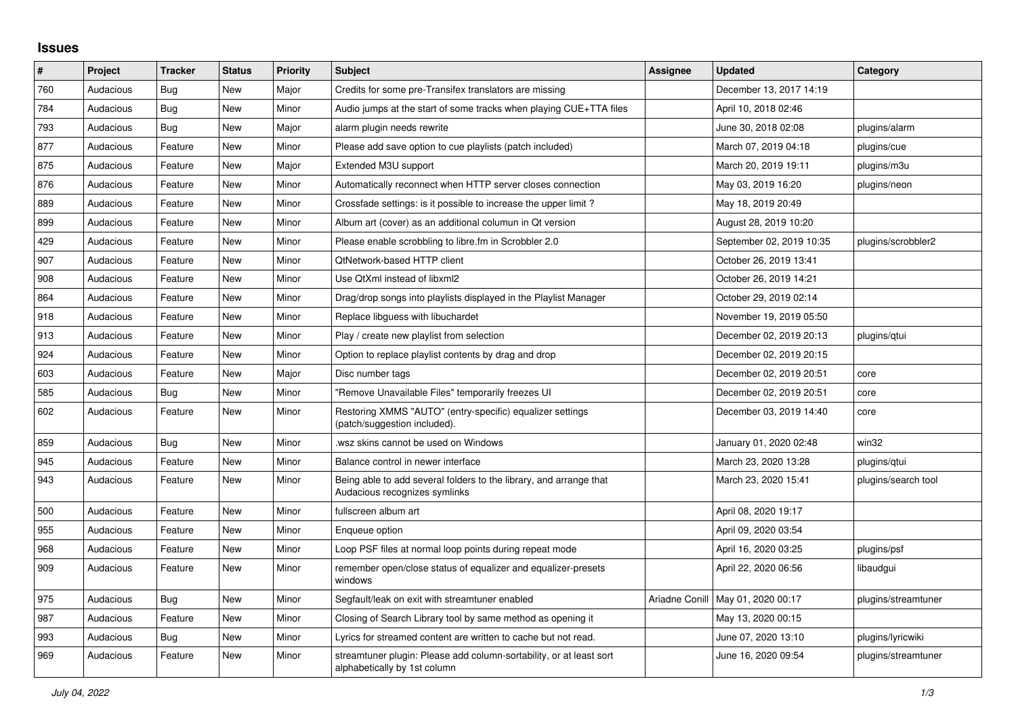## **Issues**

| ∦   | Project   | <b>Tracker</b> | <b>Status</b> | <b>Priority</b> | <b>Subject</b>                                                                                      | Assignee | <b>Updated</b>                      | Category            |
|-----|-----------|----------------|---------------|-----------------|-----------------------------------------------------------------------------------------------------|----------|-------------------------------------|---------------------|
| 760 | Audacious | Bug            | <b>New</b>    | Major           | Credits for some pre-Transifex translators are missing                                              |          | December 13, 2017 14:19             |                     |
| 784 | Audacious | Bug            | <b>New</b>    | Minor           | Audio jumps at the start of some tracks when playing CUE+TTA files                                  |          | April 10, 2018 02:46                |                     |
| 793 | Audacious | Bug            | <b>New</b>    | Major           | alarm plugin needs rewrite                                                                          |          | June 30, 2018 02:08                 | plugins/alarm       |
| 877 | Audacious | Feature        | <b>New</b>    | Minor           | Please add save option to cue playlists (patch included)                                            |          | March 07, 2019 04:18                | plugins/cue         |
| 875 | Audacious | Feature        | <b>New</b>    | Major           | Extended M3U support                                                                                |          | March 20, 2019 19:11                | plugins/m3u         |
| 876 | Audacious | Feature        | <b>New</b>    | Minor           | Automatically reconnect when HTTP server closes connection                                          |          | May 03, 2019 16:20                  | plugins/neon        |
| 889 | Audacious | Feature        | <b>New</b>    | Minor           | Crossfade settings: is it possible to increase the upper limit?                                     |          | May 18, 2019 20:49                  |                     |
| 899 | Audacious | Feature        | <b>New</b>    | Minor           | Album art (cover) as an additional columun in Qt version                                            |          | August 28, 2019 10:20               |                     |
| 429 | Audacious | Feature        | <b>New</b>    | Minor           | Please enable scrobbling to libre.fm in Scrobbler 2.0                                               |          | September 02, 2019 10:35            | plugins/scrobbler2  |
| 907 | Audacious | Feature        | New           | Minor           | QtNetwork-based HTTP client                                                                         |          | October 26, 2019 13:41              |                     |
| 908 | Audacious | Feature        | <b>New</b>    | Minor           | Use QtXml instead of libxml2                                                                        |          | October 26, 2019 14:21              |                     |
| 864 | Audacious | Feature        | <b>New</b>    | Minor           | Drag/drop songs into playlists displayed in the Playlist Manager                                    |          | October 29, 2019 02:14              |                     |
| 918 | Audacious | Feature        | <b>New</b>    | Minor           | Replace libguess with libuchardet                                                                   |          | November 19, 2019 05:50             |                     |
| 913 | Audacious | Feature        | <b>New</b>    | Minor           | Play / create new playlist from selection                                                           |          | December 02, 2019 20:13             | plugins/gtui        |
| 924 | Audacious | Feature        | <b>New</b>    | Minor           | Option to replace playlist contents by drag and drop                                                |          | December 02, 2019 20:15             |                     |
| 603 | Audacious | Feature        | <b>New</b>    | Major           | Disc number tags                                                                                    |          | December 02, 2019 20:51             | core                |
| 585 | Audacious | Bug            | New           | Minor           | "Remove Unavailable Files" temporarily freezes UI                                                   |          | December 02, 2019 20:51             | core                |
| 602 | Audacious | Feature        | <b>New</b>    | Minor           | Restoring XMMS "AUTO" (entry-specific) equalizer settings<br>(patch/suggestion included).           |          | December 03, 2019 14:40             | core                |
| 859 | Audacious | Bug            | <b>New</b>    | Minor           | wsz skins cannot be used on Windows                                                                 |          | January 01, 2020 02:48              | win32               |
| 945 | Audacious | Feature        | <b>New</b>    | Minor           | Balance control in newer interface                                                                  |          | March 23, 2020 13:28                | plugins/qtui        |
| 943 | Audacious | Feature        | <b>New</b>    | Minor           | Being able to add several folders to the library, and arrange that<br>Audacious recognizes symlinks |          | March 23, 2020 15:41                | plugins/search tool |
| 500 | Audacious | Feature        | <b>New</b>    | Minor           | fullscreen album art                                                                                |          | April 08, 2020 19:17                |                     |
| 955 | Audacious | Feature        | <b>New</b>    | Minor           | Enqueue option                                                                                      |          | April 09, 2020 03:54                |                     |
| 968 | Audacious | Feature        | <b>New</b>    | Minor           | Loop PSF files at normal loop points during repeat mode                                             |          | April 16, 2020 03:25                | plugins/psf         |
| 909 | Audacious | Feature        | <b>New</b>    | Minor           | remember open/close status of equalizer and equalizer-presets<br>windows                            |          | April 22, 2020 06:56                | libaudgui           |
| 975 | Audacious | Bug            | <b>New</b>    | Minor           | Segfault/leak on exit with streamtuner enabled                                                      |          | Ariadne Conill   May 01, 2020 00:17 | plugins/streamtuner |
| 987 | Audacious | Feature        | <b>New</b>    | Minor           | Closing of Search Library tool by same method as opening it                                         |          | May 13, 2020 00:15                  |                     |
| 993 | Audacious | Bug            | New           | Minor           | Lyrics for streamed content are written to cache but not read.                                      |          | June 07, 2020 13:10                 | plugins/lyricwiki   |
| 969 | Audacious | Feature        | <b>New</b>    | Minor           | streamtuner plugin: Please add column-sortability, or at least sort<br>alphabetically by 1st column |          | June 16, 2020 09:54                 | plugins/streamtuner |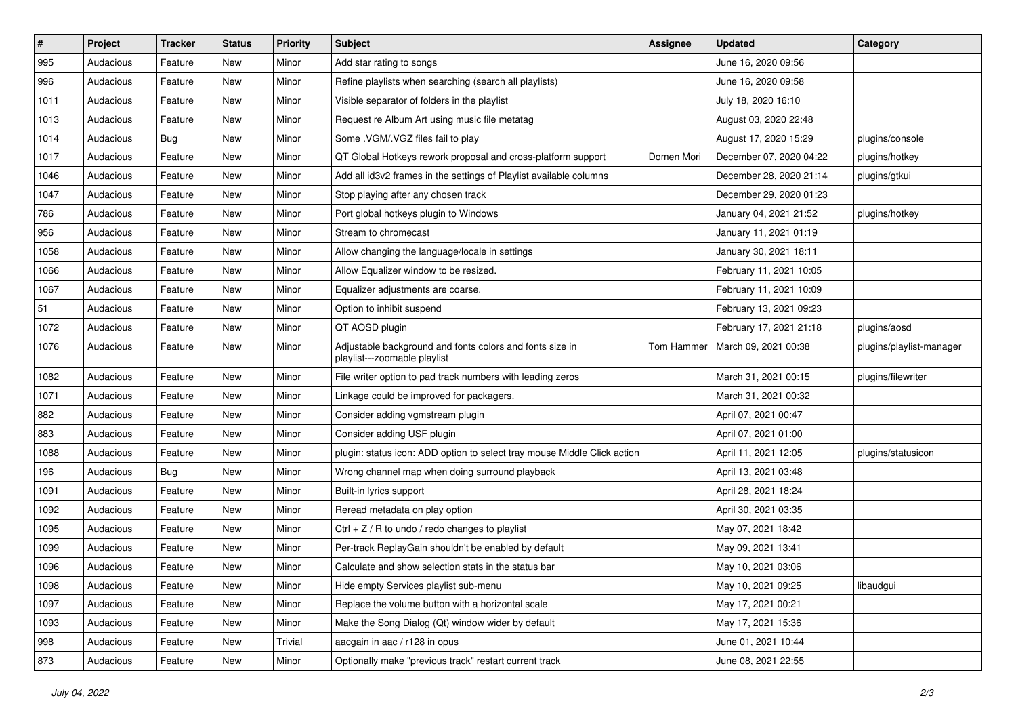| $\#$ | Project   | <b>Tracker</b> | <b>Status</b> | <b>Priority</b> | Subject                                                                                  | <b>Assignee</b> | <b>Updated</b>          | Category                 |
|------|-----------|----------------|---------------|-----------------|------------------------------------------------------------------------------------------|-----------------|-------------------------|--------------------------|
| 995  | Audacious | Feature        | New           | Minor           | Add star rating to songs                                                                 |                 | June 16, 2020 09:56     |                          |
| 996  | Audacious | Feature        | <b>New</b>    | Minor           | Refine playlists when searching (search all playlists)                                   |                 | June 16, 2020 09:58     |                          |
| 1011 | Audacious | Feature        | New           | Minor           | Visible separator of folders in the playlist                                             |                 | July 18, 2020 16:10     |                          |
| 1013 | Audacious | Feature        | New           | Minor           | Request re Album Art using music file metatag                                            |                 | August 03, 2020 22:48   |                          |
| 1014 | Audacious | <b>Bug</b>     | New           | Minor           | Some .VGM/.VGZ files fail to play                                                        |                 | August 17, 2020 15:29   | plugins/console          |
| 1017 | Audacious | Feature        | New           | Minor           | QT Global Hotkeys rework proposal and cross-platform support                             | Domen Mori      | December 07, 2020 04:22 | plugins/hotkey           |
| 1046 | Audacious | Feature        | New           | Minor           | Add all id3v2 frames in the settings of Playlist available columns                       |                 | December 28, 2020 21:14 | plugins/gtkui            |
| 1047 | Audacious | Feature        | New           | Minor           | Stop playing after any chosen track                                                      |                 | December 29, 2020 01:23 |                          |
| 786  | Audacious | Feature        | New           | Minor           | Port global hotkeys plugin to Windows                                                    |                 | January 04, 2021 21:52  | plugins/hotkey           |
| 956  | Audacious | Feature        | New           | Minor           | Stream to chromecast                                                                     |                 | January 11, 2021 01:19  |                          |
| 1058 | Audacious | Feature        | New           | Minor           | Allow changing the language/locale in settings                                           |                 | January 30, 2021 18:11  |                          |
| 1066 | Audacious | Feature        | New           | Minor           | Allow Equalizer window to be resized.                                                    |                 | February 11, 2021 10:05 |                          |
| 1067 | Audacious | Feature        | New           | Minor           | Equalizer adjustments are coarse.                                                        |                 | February 11, 2021 10:09 |                          |
| 51   | Audacious | Feature        | New           | Minor           | Option to inhibit suspend                                                                |                 | February 13, 2021 09:23 |                          |
| 1072 | Audacious | Feature        | New           | Minor           | QT AOSD plugin                                                                           |                 | February 17, 2021 21:18 | plugins/aosd             |
| 1076 | Audacious | Feature        | New           | Minor           | Adjustable background and fonts colors and fonts size in<br>playlist---zoomable playlist | Tom Hammer      | March 09, 2021 00:38    | plugins/playlist-manager |
| 1082 | Audacious | Feature        | New           | Minor           | File writer option to pad track numbers with leading zeros                               |                 | March 31, 2021 00:15    | plugins/filewriter       |
| 1071 | Audacious | Feature        | New           | Minor           | Linkage could be improved for packagers.                                                 |                 | March 31, 2021 00:32    |                          |
| 882  | Audacious | Feature        | New           | Minor           | Consider adding vgmstream plugin                                                         |                 | April 07, 2021 00:47    |                          |
| 883  | Audacious | Feature        | New           | Minor           | Consider adding USF plugin                                                               |                 | April 07, 2021 01:00    |                          |
| 1088 | Audacious | Feature        | New           | Minor           | plugin: status icon: ADD option to select tray mouse Middle Click action                 |                 | April 11, 2021 12:05    | plugins/statusicon       |
| 196  | Audacious | Bug            | New           | Minor           | Wrong channel map when doing surround playback                                           |                 | April 13, 2021 03:48    |                          |
| 1091 | Audacious | Feature        | New           | Minor           | Built-in lyrics support                                                                  |                 | April 28, 2021 18:24    |                          |
| 1092 | Audacious | Feature        | New           | Minor           | Reread metadata on play option                                                           |                 | April 30, 2021 03:35    |                          |
| 1095 | Audacious | Feature        | New           | Minor           | Ctrl + $Z$ / R to undo / redo changes to playlist                                        |                 | May 07, 2021 18:42      |                          |
| 1099 | Audacious | Feature        | New           | Minor           | Per-track ReplayGain shouldn't be enabled by default                                     |                 | May 09, 2021 13:41      |                          |
| 1096 | Audacious | Feature        | New           | Minor           | Calculate and show selection stats in the status bar                                     |                 | May 10, 2021 03:06      |                          |
| 1098 | Audacious | Feature        | New           | Minor           | Hide empty Services playlist sub-menu                                                    |                 | May 10, 2021 09:25      | libaudgui                |
| 1097 | Audacious | Feature        | New           | Minor           | Replace the volume button with a horizontal scale                                        |                 | May 17, 2021 00:21      |                          |
| 1093 | Audacious | Feature        | New           | Minor           | Make the Song Dialog (Qt) window wider by default                                        |                 | May 17, 2021 15:36      |                          |
| 998  | Audacious | Feature        | New           | Trivial         | aacgain in aac / r128 in opus                                                            |                 | June 01, 2021 10:44     |                          |
| 873  | Audacious | Feature        | New           | Minor           | Optionally make "previous track" restart current track                                   |                 | June 08, 2021 22:55     |                          |